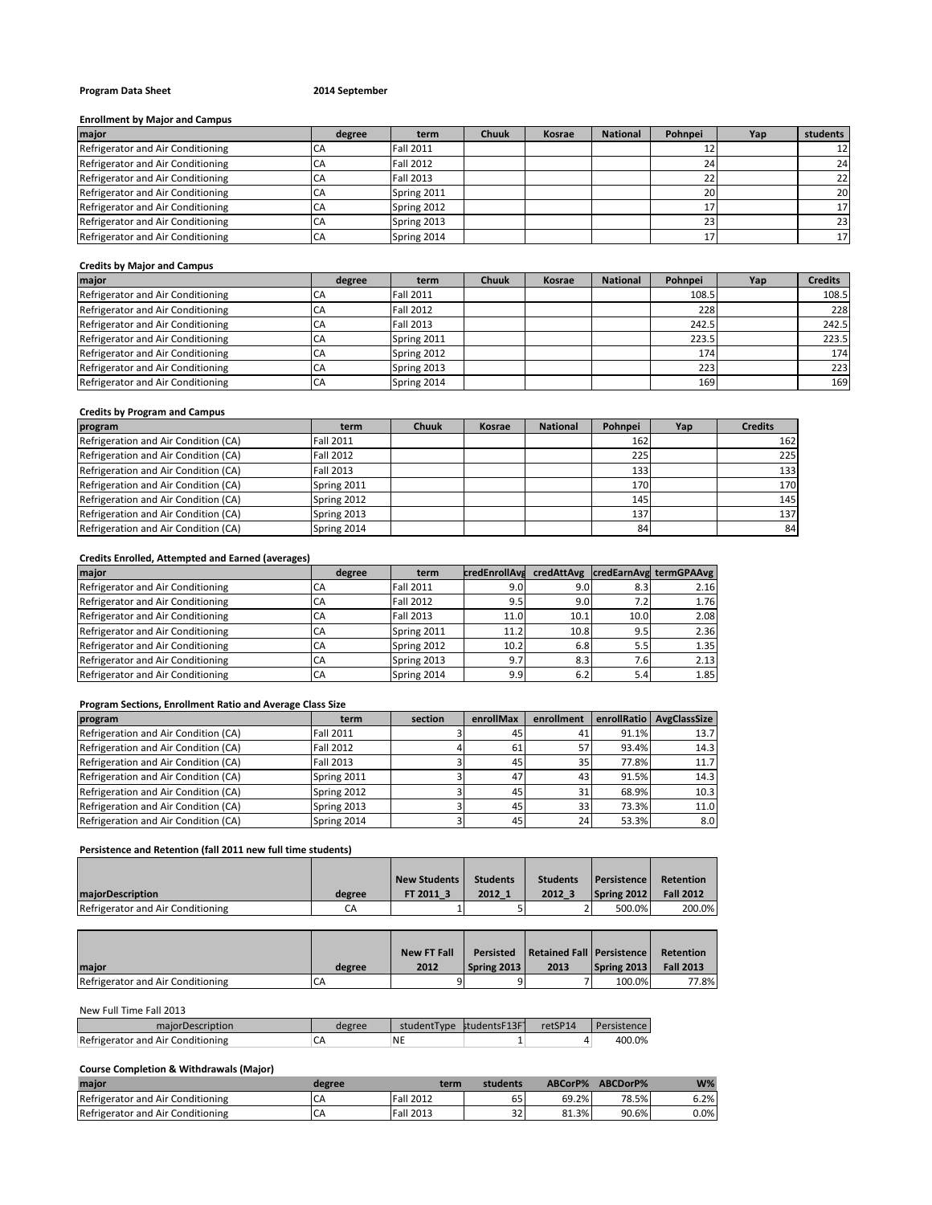# **Program Data Sheet 2014 September**

#### **Enrollment by Major and Campus**

| major                             | degree | term             | <b>Chuuk</b> | <b>Kosrae</b> | <b>National</b> | Pohnpei | Yap | students        |
|-----------------------------------|--------|------------------|--------------|---------------|-----------------|---------|-----|-----------------|
| Refrigerator and Air Conditioning | CA     | <b>Fall 2011</b> |              |               |                 |         |     | 12 <sup>1</sup> |
| Refrigerator and Air Conditioning | СA     | <b>Fall 2012</b> |              |               |                 |         |     | 24              |
| Refrigerator and Air Conditioning | CA     | Fall 2013        |              |               |                 |         |     | 22              |
| Refrigerator and Air Conditioning | CΑ     | Spring 2011      |              |               |                 | 20      |     | 20              |
| Refrigerator and Air Conditioning |        | Spring 2012      |              |               |                 |         |     |                 |
| Refrigerator and Air Conditioning |        | Spring 2013      |              |               |                 |         |     | 23              |
| Refrigerator and Air Conditioning |        | Spring 2014      |              |               |                 |         |     | 171             |

#### **Credits by Major and Campus**

| major                             | degree | term             | Chuuk | Kosrae | <b>National</b> | Pohnpei | Yap | <b>Credits</b> |
|-----------------------------------|--------|------------------|-------|--------|-----------------|---------|-----|----------------|
| Refrigerator and Air Conditioning |        | <b>Fall 2011</b> |       |        |                 | 108.5   |     | 108.5          |
| Refrigerator and Air Conditioning |        | <b>Fall 2012</b> |       |        |                 | 228     |     | 228            |
| Refrigerator and Air Conditioning |        | <b>Fall 2013</b> |       |        |                 | 242.5   |     | 242.5          |
| Refrigerator and Air Conditioning |        | Spring 2011      |       |        |                 | 223.5   |     | 223.5          |
| Refrigerator and Air Conditioning | CA     | Spring 2012      |       |        |                 | 174     |     | 174            |
| Refrigerator and Air Conditioning | СA     | Spring 2013      |       |        |                 | 223     |     | 223            |
| Refrigerator and Air Conditioning | CA     | Spring 2014      |       |        |                 | 169     |     | 169            |

## **Credits by Program and Campus**

| program                              | term             | <b>Chuuk</b> | Kosrae | <b>National</b> | Pohnpei | Yap | <b>Credits</b> |
|--------------------------------------|------------------|--------------|--------|-----------------|---------|-----|----------------|
| Refrigeration and Air Condition (CA) | <b>Fall 2011</b> |              |        |                 | 162     |     | 162            |
| Refrigeration and Air Condition (CA) | <b>Fall 2012</b> |              |        |                 | 225     |     | 225            |
| Refrigeration and Air Condition (CA) | <b>Fall 2013</b> |              |        |                 | 133     |     | 133            |
| Refrigeration and Air Condition (CA) | Spring 2011      |              |        |                 | 170     |     | 170            |
| Refrigeration and Air Condition (CA) | Spring 2012      |              |        |                 | 145     |     | 145            |
| Refrigeration and Air Condition (CA) | Spring 2013      |              |        |                 | 137     |     | 137            |
| Refrigeration and Air Condition (CA) | Spring 2014      |              |        |                 | 84      |     | 84             |

## **Credits Enrolled, Attempted and Earned (averages)**

| major                             | degree | term             | <b>credEnrollAva</b> |      |      | credAttAvg credEarnAvg termGPAAvg |
|-----------------------------------|--------|------------------|----------------------|------|------|-----------------------------------|
| Refrigerator and Air Conditioning | СA     | <b>Fall 2011</b> | 9.0                  | 9.0  | 8.3  | 2.16                              |
| Refrigerator and Air Conditioning | CA     | <b>Fall 2012</b> | 9.5                  | 9.0  | 7.2  | 1.76                              |
| Refrigerator and Air Conditioning | CA     | Fall 2013        | 11.0                 | 10.1 | 10.0 | 2.08                              |
| Refrigerator and Air Conditioning | CA     | Spring 2011      | 11.2                 | 10.8 | 9.5  | 2.36                              |
| Refrigerator and Air Conditioning | CA     | Spring 2012      | 10.2                 | 6.8  | 5.5  | 1.35                              |
| Refrigerator and Air Conditioning | CA     | Spring 2013      | 9.7                  | 8.3  | 7.6I | 2.13                              |
| Refrigerator and Air Conditioning | CA     | Spring 2014      | 9.9                  | 6.2  | 5.4  | 1.85                              |

# **Program Sections, Enrollment Ratio and Average Class Size**

| program                              | term             | section | enrollMax | enrollment |       | enrollRatio AvgClassSize |
|--------------------------------------|------------------|---------|-----------|------------|-------|--------------------------|
| Refrigeration and Air Condition (CA) | <b>Fall 2011</b> |         | 45        | 41         | 91.1% | 13.7                     |
| Refrigeration and Air Condition (CA) | <b>Fall 2012</b> |         | 61        | 57         | 93.4% | 14.3                     |
| Refrigeration and Air Condition (CA) | <b>Fall 2013</b> |         | 45        | 35         | 77.8% | 11.7                     |
| Refrigeration and Air Condition (CA) | Spring 2011      |         | 47        | 43         | 91.5% | 14.3                     |
| Refrigeration and Air Condition (CA) | Spring 2012      |         | 45        | 31         | 68.9% | 10.3                     |
| Refrigeration and Air Condition (CA) | Spring 2013      |         | 45        | 33         | 73.3% | 11.0                     |
| Refrigeration and Air Condition (CA) | Spring 2014      |         | 45        | 24         | 53.3% | 8.0                      |

# **Persistence and Retention (fall 2011 new full time students)**

|                                   |        | <b>New Students</b> | <b>Students</b> | <b>Students</b> | <b>Persistence</b> | Retention        |
|-----------------------------------|--------|---------------------|-----------------|-----------------|--------------------|------------------|
| maiorDescription                  | degree | FT 2011 3           | 2012 1          | 2012 3          | Spring 2012        | <b>Fall 2012</b> |
| Refrigerator and Air Conditioning | СA     |                     |                 |                 | 500.0%             | 200.0%           |

|                                   |        | <b>New FT Fall</b> |             | Persisted Retained Fall Persistence |             | Retention        |
|-----------------------------------|--------|--------------------|-------------|-------------------------------------|-------------|------------------|
| <b>Imaior</b>                     | degree | 2012               | Spring 2013 | 2013                                | Spring 2013 | <b>Fall 2013</b> |
| Refrigerator and Air Conditioning | CA     |                    |             |                                     | 100.0%      | 77.8%            |

## New Full Time Fall 2013

| majorDescription                  | degree | studentType studentsF13F1 | retSP14 | Persistence I |
|-----------------------------------|--------|---------------------------|---------|---------------|
| Refrigerator and Air Conditioning |        | 'NE                       |         | 400.0%        |

## **Course Completion & Withdrawals (Major)**

| maior                             | degree | term             | students   | ABCorP% | ABCDorP% | $W\%$   |
|-----------------------------------|--------|------------------|------------|---------|----------|---------|
| Refrigerator and Air Conditioning | CΑ     | <b>Fall 2012</b> | 65         | 69.2%   | 78.5%    | 6.2%    |
| Refrigerator and Air Conditioning | CΑ     | <b>Fall 2013</b> | 22.5<br>34 | 81.3%   | 90.6%    | $0.0\%$ |